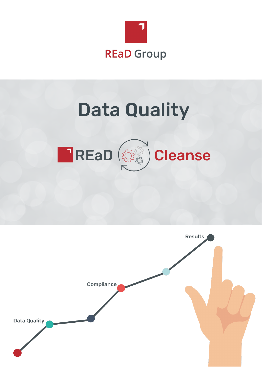

# Data Quality



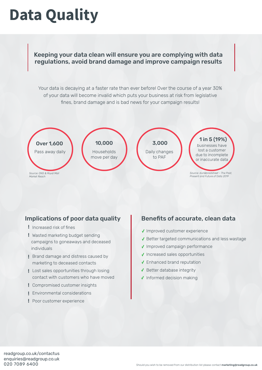### **Data Quality**

Keeping your data clean will ensure you are complying with data regulations, avoid brand damage and improve campaign results

Your data is decaying at a faster rate than ever before! Over the course of a year 30% of your data will become invalid which puts your business at risk from legislative fines, brand damage and is bad news for your campaign results!



### Implications of poor data quality **Benefits of accurate, clean data**

- ! Increased risk of fines
- Wasted marketing budget sending ! campaigns to goneaways and deceased individuals
- Brand damage and distress caused by ! marketing to deceased contacts
- Lost sales opportunities through losing ! contact with customers who have moved
- Compromised customer insights !
- Environmental considerations !
- Poor customer experience !

- ✔ Improved customer experience
- $\sqrt{\ }$  Better targeted communications and less wastage
- ◆ Improved campaign performance
- $\sqrt{}$  Increased sales opportunities
- ↓ Enhanced brand reputation
- ◆ Better database integrity
- ✔ Informed decision making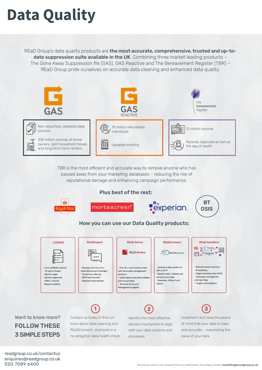## **Data Quality**

REaD Group's data quality products are the most accurate, comprehensive, trusted and up-todate suppression suite available in the UK. Combining three market leading products -The Gone Away Suppression file (GAS), GAS Reactive and The Bereavement Register (TBR) – REaD Group pride ourselves on accurate data cleaning and enhanced data quality.



TBR is the most efficient and accurate way to remove anyone who has passed away from your marketing databases – reducing the risk of reputational damage and enhancing campaign performance.

### Plus best of the rest:



· Technical & Account Management support

Want to know more? FOLLOW THESE 3 SIMPLE STEPS

· Regular updates

Contact us today to find out more about data cleaning and REaDConnect- and book in a no obligation data health check

Identify the most effective delivery mechanism to align with your data systems and processes  $\begin{pmatrix} 1 \end{pmatrix}$   $\begin{pmatrix} 2 \end{pmatrix}$   $\begin{pmatrix} 3 \end{pmatrix}$ 

Implement and have the peace of mind that your data is clean and accurate – maximising the value of your data

readgroup.co.uk/contactus enquiries@readgroup.co.uk 020 7089 6400